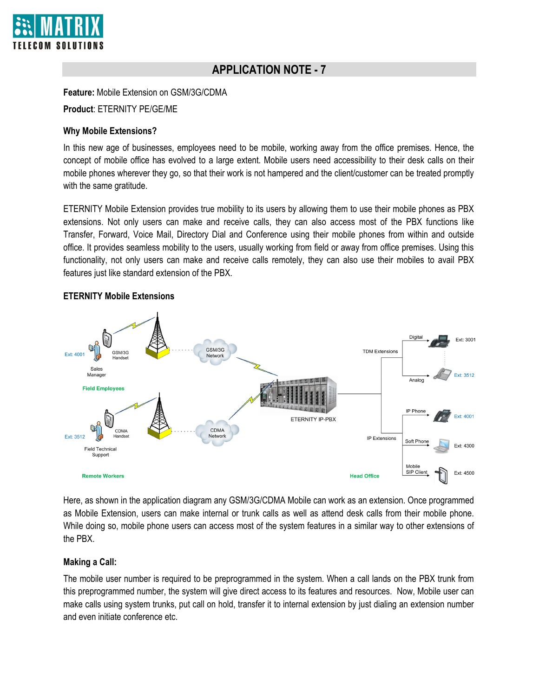

# **APPLICATION NOTE - 7**

**Feature:** Mobile Extension on GSM/3G/CDMA

**Product**: ETERNITY PE/GE/ME

## **Why Mobile Extensions?**

In this new age of businesses, employees need to be mobile, working away from the office premises. Hence, the concept of mobile office has evolved to a large extent. Mobile users need accessibility to their desk calls on their mobile phones wherever they go, so that their work is not hampered and the client/customer can be treated promptly with the same gratitude.

ETERNITY Mobile Extension provides true mobility to its users by allowing them to use their mobile phones as PBX extensions. Not only users can make and receive calls, they can also access most of the PBX functions like Transfer, Forward, Voice Mail, Directory Dial and Conference using their mobile phones from within and outside office. It provides seamless mobility to the users, usually working from field or away from office premises. Using this functionality, not only users can make and receive calls remotely, they can also use their mobiles to avail PBX features just like standard extension of the PBX.



# **ETERNITY Mobile Extensions**

Here, as shown in the application diagram any GSM/3G/CDMA Mobile can work as an extension. Once programmed as Mobile Extension, users can make internal or trunk calls as well as attend desk calls from their mobile phone. While doing so, mobile phone users can access most of the system features in a similar way to other extensions of the PBX.

## **Making a Call:**

The mobile user number is required to be preprogrammed in the system. When a call lands on the PBX trunk from this preprogrammed number, the system will give direct access to its features and resources. Now, Mobile user can make calls using system trunks, put call on hold, transfer it to internal extension by just dialing an extension number and even initiate conference etc.